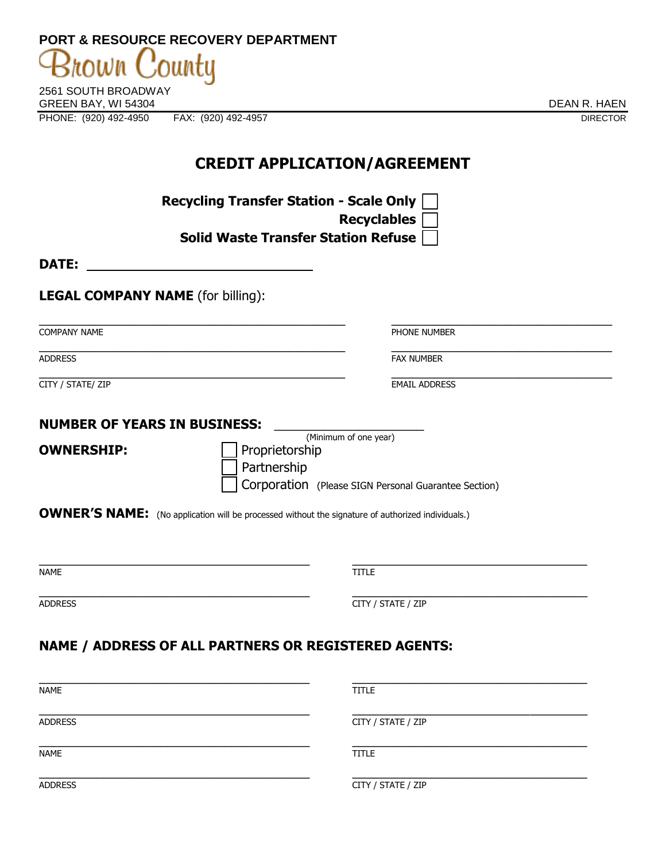| T VIIT & INLOUDINGLINE OUTLINT DET AINTMENT  |                 |
|----------------------------------------------|-----------------|
| Brown County                                 |                 |
| 2561 SOUTH BROADWAY                          |                 |
| GREEN BAY. WI 54304                          | DEAN R. HAEN    |
| PHONE: (920) 492-4950<br>FAX: (920) 492-4957 | <b>DIRECTOR</b> |

**PORT & RESOURCE RECOVERY DEPARTMENT** 

**CREDIT APPLICATION/AGREEMENT** 

**Recycling Transfer Station - Scale Only Recyclables Solid Waste Transfer Station Refuse DATE: LEGAL COMPANY NAME** (for billing): \_\_\_\_\_\_\_\_\_\_\_\_\_\_\_\_\_\_\_\_\_\_\_\_\_\_\_\_\_\_\_\_\_\_\_\_\_\_\_\_\_\_\_ \_\_\_\_\_\_\_\_\_\_\_\_\_\_\_\_\_\_\_\_\_\_\_\_\_\_\_\_\_\_\_ **COMPANY NAME PHONE NUMBER** \_\_\_\_\_\_\_\_\_\_\_\_\_\_\_\_\_\_\_\_\_\_\_\_\_\_\_\_\_\_\_\_\_\_\_\_\_\_\_\_\_\_\_ \_\_\_\_\_\_\_\_\_\_\_\_\_\_\_\_\_\_\_\_\_\_\_\_\_\_\_\_\_\_\_ ADDRESS FAX NUMBER \_\_\_\_\_\_\_\_\_\_\_\_\_\_\_\_\_\_\_\_\_\_\_\_\_\_\_\_\_\_\_\_\_\_\_\_\_\_\_\_\_\_\_ \_\_\_\_\_\_\_\_\_\_\_\_\_\_\_\_\_\_\_\_\_\_\_\_\_\_\_\_\_\_\_ CITY / STATE/ ZIP EMAIL ADDRESS **NUMBER OF YEARS IN BUSINESS:** \_\_\_\_\_\_\_\_\_\_\_\_\_\_\_\_\_\_\_\_\_ (Minimum of one year) **OWNERSHIP:** Proprietorship Partnership Corporation (Please SIGN Personal Guarantee Section) **OWNER'S NAME:** (No application will be processed without the signature of authorized individuals.)  $\overline{a_1}$  , and the contribution of the contribution of  $\overline{a_1}$  , and  $\overline{a_2}$  , and  $\overline{a_3}$  , and  $\overline{a_4}$  , and  $\overline{a_5}$  , and  $\overline{a_6}$  , and  $\overline{a_7}$  , and  $\overline{a_8}$  , and  $\overline{a_9}$  , and  $\overline{a_9}$  NAME TITLE THE STATE OF THE STATE OF THE STATE OF THE STATE OF THE STATE OF THE STATE OF THE STATE OF THE STATE OF THE STATE OF THE STATE OF THE STATE OF THE STATE OF THE STATE OF THE STATE OF THE STATE OF THE STATE OF THE  $\overline{a_1}$  , and the contribution of the contribution of the contribution of the contribution of the contribution of the contribution of the contribution of the contribution of the contribution of the contribution of the ADDRESS CITY / STATE / ZIP **NAME / ADDRESS OF ALL PARTNERS OR REGISTERED AGENTS:** \_\_\_\_\_\_\_\_\_\_\_\_\_\_\_\_\_\_\_\_\_\_\_\_\_\_\_\_\_\_\_\_\_\_\_\_\_\_ \_\_\_\_\_\_\_\_\_\_\_\_\_\_\_\_\_\_\_\_\_\_\_\_\_\_\_\_\_\_\_\_\_ NAME TITLE THE STATE OF THE STATE OF THE STATE OF THE STATE OF THE STATE OF THE STATE OF THE STATE OF THE STATE OF THE STATE OF THE STATE OF THE STATE OF THE STATE OF THE STATE OF THE STATE OF THE STATE OF THE STATE OF THE \_\_\_\_\_\_\_\_\_\_\_\_\_\_\_\_\_\_\_\_\_\_\_\_\_\_\_\_\_\_\_\_\_\_\_\_\_\_ \_\_\_\_\_\_\_\_\_\_\_\_\_\_\_\_\_\_\_\_\_\_\_\_\_\_\_\_\_\_\_\_\_ ADDRESS CITY / STATE / ZIP

 $\overline{a_1}$  , and the contribution of the contribution of the contribution of the contribution of the contribution of the contribution of the contribution of the contribution of the contribution of the contribution of the NAME TITLE THE STATE OF THE STATE OF THE STATE OF THE STATE OF THE STATE OF THE STATE OF THE STATE OF THE STATE OF THE STATE OF THE STATE OF THE STATE OF THE STATE OF THE STATE OF THE STATE OF THE STATE OF THE STATE OF THE

 $\overline{a_1}$  , and the contribution of the contribution of the contribution of the contribution of the contribution of the contribution of the contribution of the contribution of the contribution of the contribution of the

ADDRESS CITY / STATE / ZIP